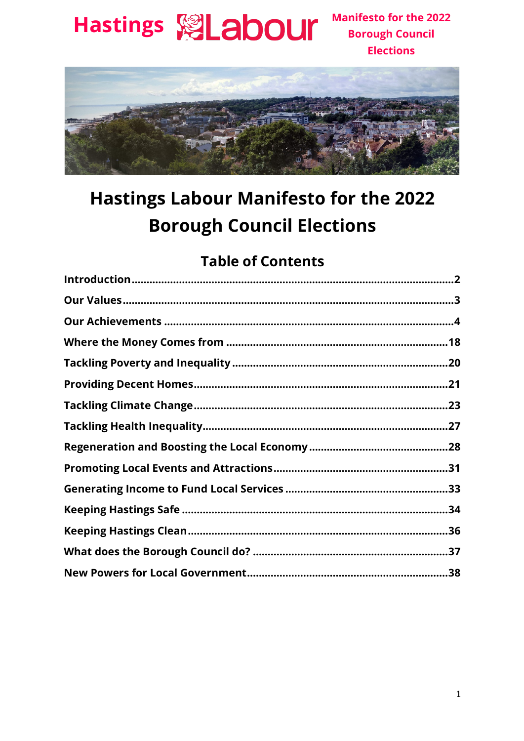

**Manifesto for the 2022 Borough Council Elections** 



#### **Hastings Labour Manifesto for the 2022 Borough Council Elections**

#### **Table of Contents**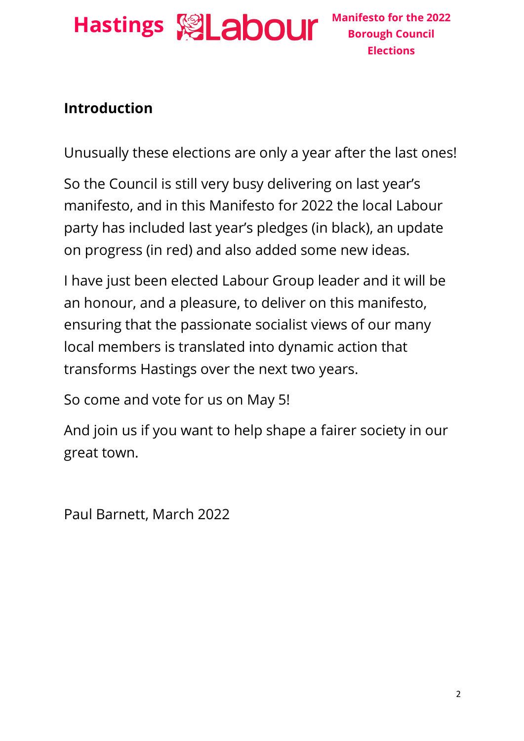

#### **Introduction**

Unusually these elections are only a year after the last ones!

So the Council is still very busy delivering on last year's manifesto, and in this Manifesto for 2022 the local Labour party has included last year's pledges (in black), an update on progress (in red) and also added some new ideas.

I have just been elected Labour Group leader and it will be an honour, and a pleasure, to deliver on this manifesto, ensuring that the passionate socialist views of our many local members is translated into dynamic action that transforms Hastings over the next two years.

So come and vote for us on May 5!

And join us if you want to help shape a fairer society in our great town.

Paul Barnett, March 2022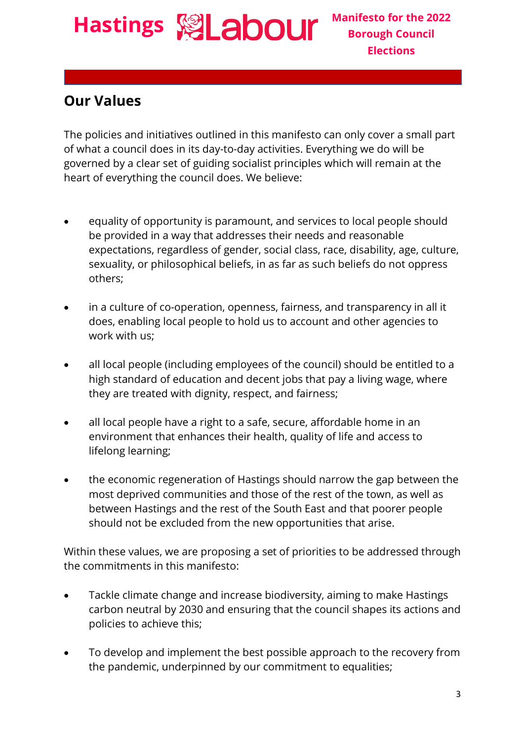**Hastings & Labour** Manifesto for the 2022 **Borough Council Elections**

#### **Our Values**

The policies and initiatives outlined in this manifesto can only cover a small part of what a council does in its day-to-day activities. Everything we do will be governed by a clear set of guiding socialist principles which will remain at the heart of everything the council does. We believe:

- equality of opportunity is paramount, and services to local people should be provided in a way that addresses their needs and reasonable expectations, regardless of gender, social class, race, disability, age, culture, sexuality, or philosophical beliefs, in as far as such beliefs do not oppress others;
- in a culture of co-operation, openness, fairness, and transparency in all it does, enabling local people to hold us to account and other agencies to work with us;
- all local people (including employees of the council) should be entitled to a high standard of education and decent jobs that pay a living wage, where they are treated with dignity, respect, and fairness;
- all local people have a right to a safe, secure, affordable home in an environment that enhances their health, quality of life and access to lifelong learning;
- the economic regeneration of Hastings should narrow the gap between the most deprived communities and those of the rest of the town, as well as between Hastings and the rest of the South East and that poorer people should not be excluded from the new opportunities that arise.

Within these values, we are proposing a set of priorities to be addressed through the commitments in this manifesto:

- Tackle climate change and increase biodiversity, aiming to make Hastings carbon neutral by 2030 and ensuring that the council shapes its actions and policies to achieve this;
- To develop and implement the best possible approach to the recovery from the pandemic, underpinned by our commitment to equalities;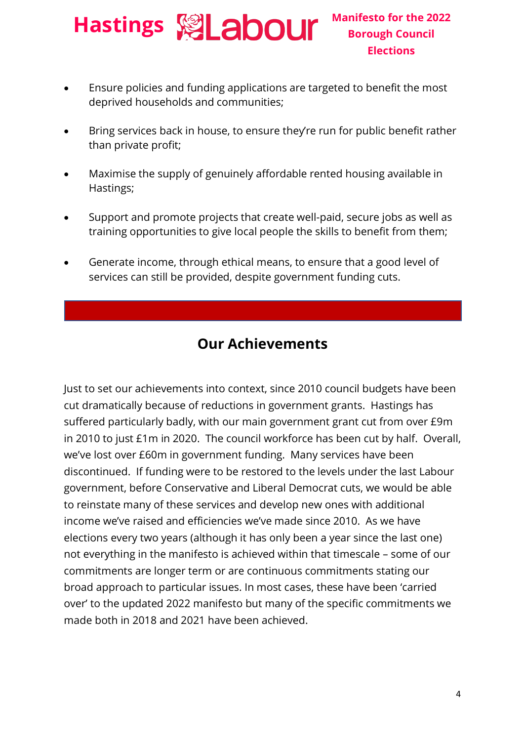- Ensure policies and funding applications are targeted to benefit the most deprived households and communities;
- Bring services back in house, to ensure they're run for public benefit rather than private profit;
- Maximise the supply of genuinely affordable rented housing available in Hastings;
- Support and promote projects that create well-paid, secure jobs as well as training opportunities to give local people the skills to benefit from them;
- Generate income, through ethical means, to ensure that a good level of services can still be provided, despite government funding cuts.

#### **Our Achievements**

Just to set our achievements into context, since 2010 council budgets have been cut dramatically because of reductions in government grants. Hastings has suffered particularly badly, with our main government grant cut from over £9m in 2010 to just £1m in 2020. The council workforce has been cut by half. Overall, we've lost over £60m in government funding. Many services have been discontinued. If funding were to be restored to the levels under the last Labour government, before Conservative and Liberal Democrat cuts, we would be able to reinstate many of these services and develop new ones with additional income we've raised and efficiencies we've made since 2010. As we have elections every two years (although it has only been a year since the last one) not everything in the manifesto is achieved within that timescale – some of our commitments are longer term or are continuous commitments stating our broad approach to particular issues. In most cases, these have been 'carried over' to the updated 2022 manifesto but many of the specific commitments we made both in 2018 and 2021 have been achieved.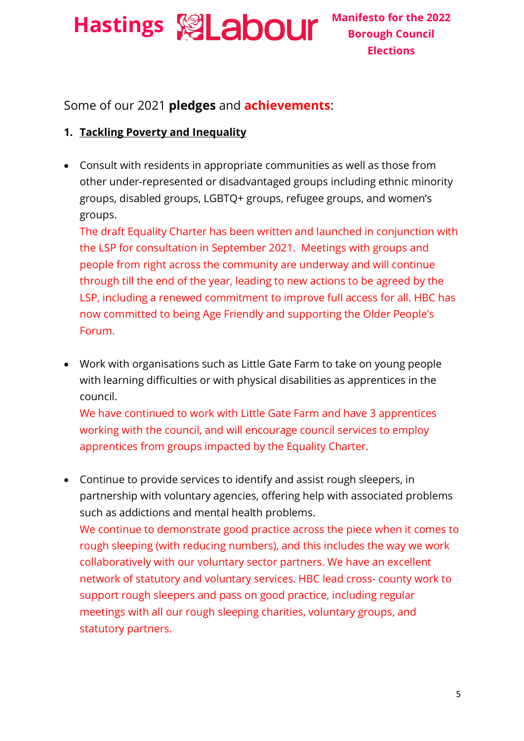**Hastings Manifesto for the 2022** 

**Borough Council Elections**

#### Some of our 2021 **pledges** and **achievements**:

#### **1. Tackling Poverty and Inequality**

• Consult with residents in appropriate communities as well as those from other under-represented or disadvantaged groups including ethnic minority groups, disabled groups, LGBTQ+ groups, refugee groups, and women's groups.

The draft Equality Charter has been written and launched in conjunction with the LSP for consultation in September 2021. Meetings with groups and people from right across the community are underway and will continue through till the end of the year, leading to new actions to be agreed by the LSP, including a renewed commitment to improve full access for all. HBC has now committed to being Age Friendly and supporting the Older People's Forum.

• Work with organisations such as Little Gate Farm to take on young people with learning difficulties or with physical disabilities as apprentices in the council.

We have continued to work with Little Gate Farm and have 3 apprentices working with the council, and will encourage council services to employ apprentices from groups impacted by the Equality Charter.

• Continue to provide services to identify and assist rough sleepers, in partnership with voluntary agencies, offering help with associated problems such as addictions and mental health problems. We continue to demonstrate good practice across the piece when it comes to rough sleeping (with reducing numbers), and this includes the way we work collaboratively with our voluntary sector partners. We have an excellent network of statutory and voluntary services. HBC lead cross- county work to support rough sleepers and pass on good practice, including regular meetings with all our rough sleeping charities, voluntary groups, and statutory partners.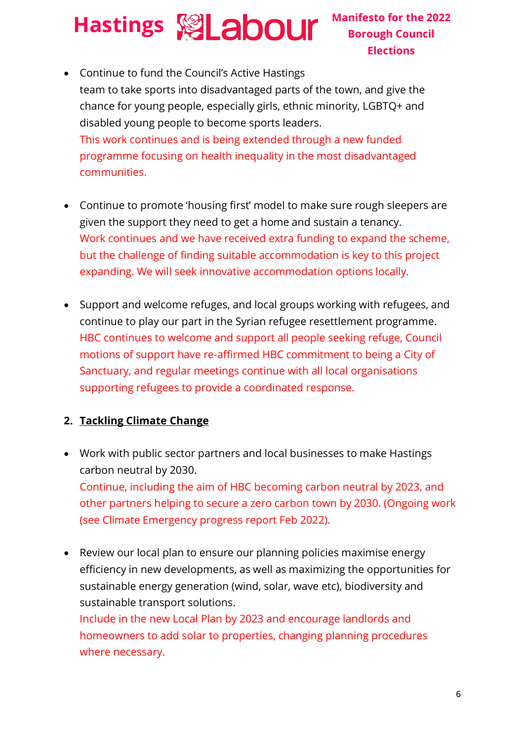#### **Borough Council Elections**

• Continue to fund the Council's Active Hastings team to take sports into disadvantaged parts of the town, and give the chance for young people, especially girls, ethnic minority, LGBTQ+ and disabled young people to become sports leaders. This work continues and is being extended through a new funded programme focusing on health inequality in the most disadvantaged communities.

- Continue to promote 'housing first' model to make sure rough sleepers are given the support they need to get a home and sustain a tenancy. Work continues and we have received extra funding to expand the scheme, but the challenge of finding suitable accommodation is key to this project expanding. We will seek innovative accommodation options locally.
- Support and welcome refuges, and local groups working with refugees, and continue to play our part in the Syrian refugee resettlement programme. HBC continues to welcome and support all people seeking refuge, Council motions of support have re-affirmed HBC commitment to being a City of Sanctuary, and regular meetings continue with all local organisations supporting refugees to provide a coordinated response.

#### **2. Tackling Climate Change**

- Work with public sector partners and local businesses to make Hastings carbon neutral by 2030. Continue, including the aim of HBC becoming carbon neutral by 2023, and other partners helping to secure a zero carbon town by 2030. (Ongoing work (see Climate Emergency progress report Feb 2022).
- Review our local plan to ensure our planning policies maximise energy efficiency in new developments, as well as maximizing the opportunities for sustainable energy generation (wind, solar, wave etc), biodiversity and sustainable transport solutions. Include in the new Local Plan by 2023 and encourage landlords and homeowners to add solar to properties, changing planning procedures where necessary.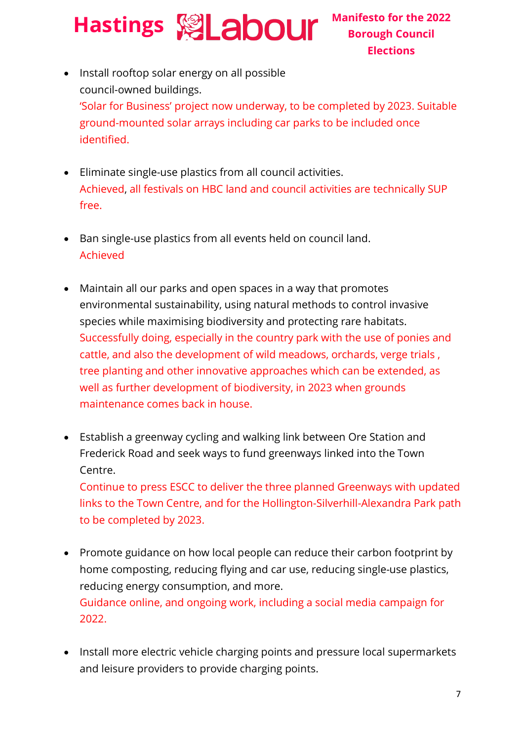- Install rooftop solar energy on all possible council-owned buildings. 'Solar for Business' project now underway, to be completed by 2023. Suitable ground-mounted solar arrays including car parks to be included once identified.
- Eliminate single-use plastics from all council activities. Achieved, all festivals on HBC land and council activities are technically SUP free.
- Ban single-use plastics from all events held on council land. Achieved
- Maintain all our parks and open spaces in a way that promotes environmental sustainability, using natural methods to control invasive species while maximising biodiversity and protecting rare habitats. Successfully doing, especially in the country park with the use of ponies and cattle, and also the development of wild meadows, orchards, verge trials , tree planting and other innovative approaches which can be extended, as well as further development of biodiversity, in 2023 when grounds maintenance comes back in house.
- Establish a greenway cycling and walking link between Ore Station and Frederick Road and seek ways to fund greenways linked into the Town Centre.

Continue to press ESCC to deliver the three planned Greenways with updated links to the Town Centre, and for the Hollington-Silverhill-Alexandra Park path to be completed by 2023.

- Promote guidance on how local people can reduce their carbon footprint by home composting, reducing flying and car use, reducing single-use plastics, reducing energy consumption, and more. Guidance online, and ongoing work, including a social media campaign for 2022.
- Install more electric vehicle charging points and pressure local supermarkets and leisure providers to provide charging points.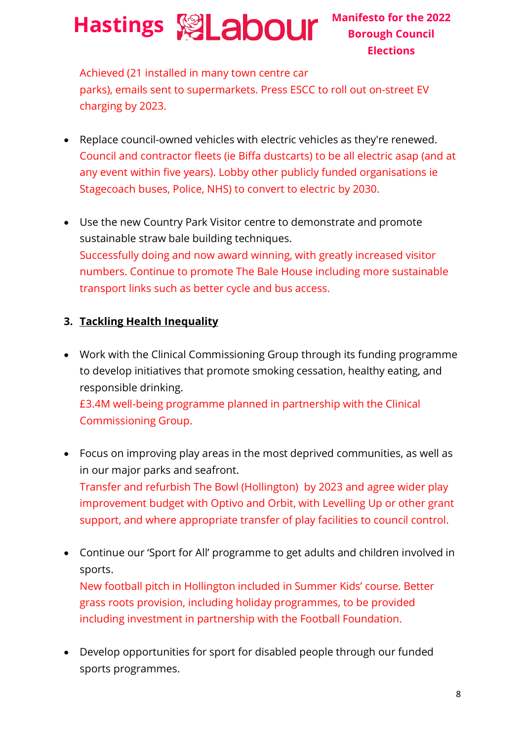Achieved (21 installed in many town centre car parks), emails sent to supermarkets. Press ESCC to roll out on-street EV charging by 2023.

- Replace council-owned vehicles with electric vehicles as they're renewed. Council and contractor fleets (ie Biffa dustcarts) to be all electric asap (and at any event within five years). Lobby other publicly funded organisations ie Stagecoach buses, Police, NHS) to convert to electric by 2030.
- Use the new Country Park Visitor centre to demonstrate and promote sustainable straw bale building techniques. Successfully doing and now award winning, with greatly increased visitor numbers. Continue to promote The Bale House including more sustainable transport links such as better cycle and bus access.

#### **3. Tackling Health Inequality**

• Work with the Clinical Commissioning Group through its funding programme to develop initiatives that promote smoking cessation, healthy eating, and responsible drinking. £3.4M well-being programme planned in partnership with the Clinical

Commissioning Group.

- Focus on improving play areas in the most deprived communities, as well as in our major parks and seafront. Transfer and refurbish The Bowl (Hollington) by 2023 and agree wider play improvement budget with Optivo and Orbit, with Levelling Up or other grant support, and where appropriate transfer of play facilities to council control.
- Continue our 'Sport for All' programme to get adults and children involved in sports. New football pitch in Hollington included in Summer Kids' course. Better grass roots provision, including holiday programmes, to be provided

including investment in partnership with the Football Foundation.

• Develop opportunities for sport for disabled people through our funded sports programmes.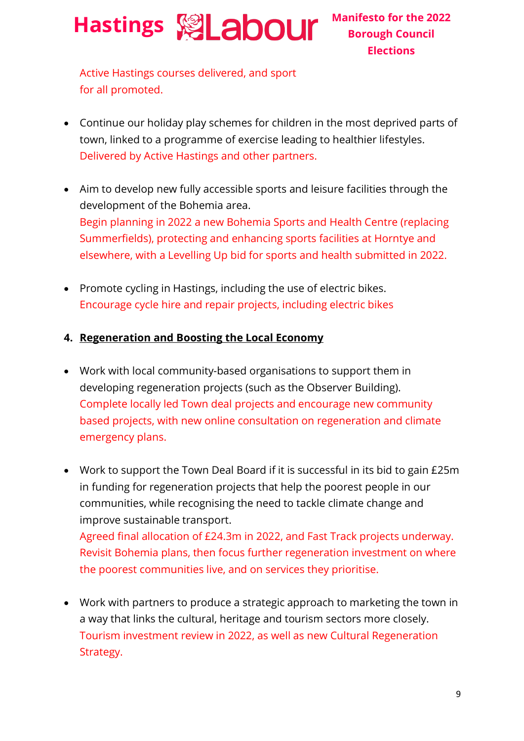Active Hastings courses delivered, and sport for all promoted.

- Continue our holiday play schemes for children in the most deprived parts of town, linked to a programme of exercise leading to healthier lifestyles. Delivered by Active Hastings and other partners.
- Aim to develop new fully accessible sports and leisure facilities through the development of the Bohemia area. Begin planning in 2022 a new Bohemia Sports and Health Centre (replacing Summerfields), protecting and enhancing sports facilities at Horntye and elsewhere, with a Levelling Up bid for sports and health submitted in 2022.
- Promote cycling in Hastings, including the use of electric bikes. Encourage cycle hire and repair projects, including electric bikes
- **4. Regeneration and Boosting the Local Economy**
- Work with local community-based organisations to support them in developing regeneration projects (such as the Observer Building). Complete locally led Town deal projects and encourage new community based projects, with new online consultation on regeneration and climate emergency plans.
- Work to support the Town Deal Board if it is successful in its bid to gain £25m in funding for regeneration projects that help the poorest people in our communities, while recognising the need to tackle climate change and improve sustainable transport. Agreed final allocation of £24.3m in 2022, and Fast Track projects underway.

Revisit Bohemia plans, then focus further regeneration investment on where the poorest communities live, and on services they prioritise.

• Work with partners to produce a strategic approach to marketing the town in a way that links the cultural, heritage and tourism sectors more closely. Tourism investment review in 2022, as well as new Cultural Regeneration Strategy.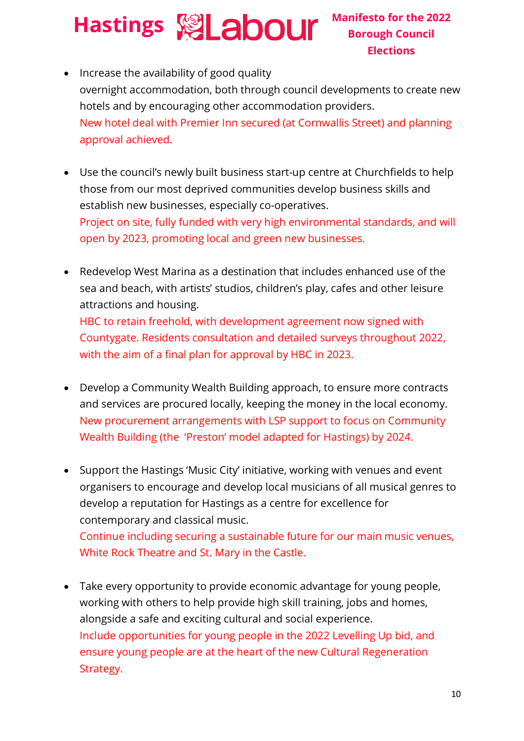• Increase the availability of good quality overnight accommodation, both through council developments to create new hotels and by encouraging other accommodation providers. New hotel deal with Premier Inn secured (at Cornwallis Street) and planning approval achieved.

- Use the council's newly built business start-up centre at Churchfields to help those from our most deprived communities develop business skills and establish new businesses, especially co-operatives. Project on site, fully funded with very high environmental standards, and will open by 2023, promoting local and green new businesses.
- Redevelop West Marina as a destination that includes enhanced use of the sea and beach, with artists' studios, children's play, cafes and other leisure attractions and housing. HBC to retain freehold, with development agreement now signed with Countygate. Residents consultation and detailed surveys throughout 2022, with the aim of a final plan for approval by HBC in 2023.
- Develop a Community Wealth Building approach, to ensure more contracts and services are procured locally, keeping the money in the local economy. New procurement arrangements with LSP support to focus on Community Wealth Building (the 'Preston' model adapted for Hastings) by 2024.
- Support the Hastings 'Music City' initiative, working with venues and event organisers to encourage and develop local musicians of all musical genres to develop a reputation for Hastings as a centre for excellence for contemporary and classical music. Continue including securing a sustainable future for our main music venues,

White Rock Theatre and St. Mary in the Castle.

• Take every opportunity to provide economic advantage for young people, working with others to help provide high skill training, jobs and homes, alongside a safe and exciting cultural and social experience. Include opportunities for young people in the 2022 Levelling Up bid, and ensure young people are at the heart of the new Cultural Regeneration Strategy.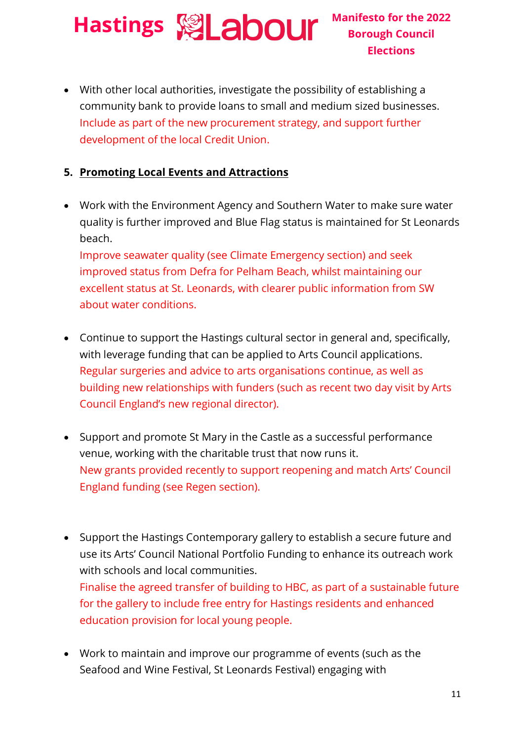• With other local authorities, investigate the possibility of establishing a community bank to provide loans to small and medium sized businesses. Include as part of the new procurement strategy, and support further development of the local Credit Union.

#### **5. Promoting Local Events and Attractions**

• Work with the Environment Agency and Southern Water to make sure water quality is further improved and Blue Flag status is maintained for St Leonards beach.

Improve seawater quality (see Climate Emergency section) and seek improved status from Defra for Pelham Beach, whilst maintaining our excellent status at St. Leonards, with clearer public information from SW about water conditions.

- Continue to support the Hastings cultural sector in general and, specifically, with leverage funding that can be applied to Arts Council applications. Regular surgeries and advice to arts organisations continue, as well as building new relationships with funders (such as recent two day visit by Arts Council England's new regional director).
- Support and promote St Mary in the Castle as a successful performance venue, working with the charitable trust that now runs it. New grants provided recently to support reopening and match Arts' Council England funding (see Regen section).
- Support the Hastings Contemporary gallery to establish a secure future and use its Arts' Council National Portfolio Funding to enhance its outreach work with schools and local communities. Finalise the agreed transfer of building to HBC, as part of a sustainable future for the gallery to include free entry for Hastings residents and enhanced education provision for local young people.
- Work to maintain and improve our programme of events (such as the Seafood and Wine Festival, St Leonards Festival) engaging with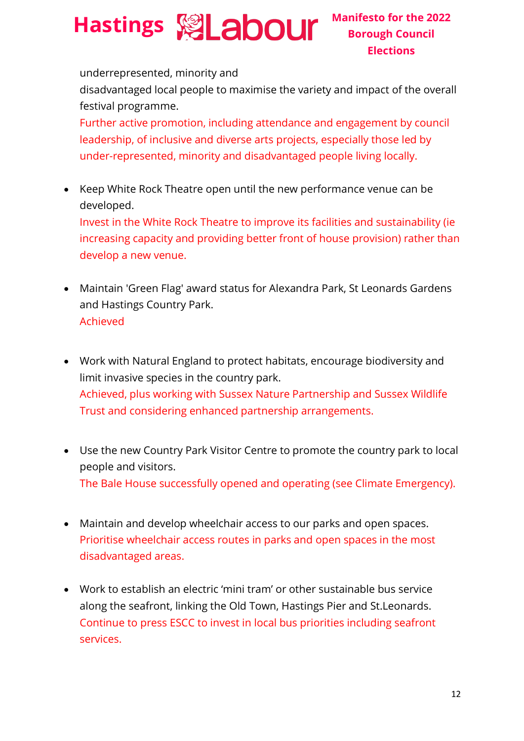underrepresented, minority and

disadvantaged local people to maximise the variety and impact of the overall festival programme.

Further active promotion, including attendance and engagement by council leadership, of inclusive and diverse arts projects, especially those led by under-represented, minority and disadvantaged people living locally.

• Keep White Rock Theatre open until the new performance venue can be developed.

Invest in the White Rock Theatre to improve its facilities and sustainability (ie increasing capacity and providing better front of house provision) rather than develop a new venue.

- Maintain 'Green Flag' award status for Alexandra Park, St Leonards Gardens and Hastings Country Park. Achieved
- Work with Natural England to protect habitats, encourage biodiversity and limit invasive species in the country park. Achieved, plus working with Sussex Nature Partnership and Sussex Wildlife Trust and considering enhanced partnership arrangements.
- Use the new Country Park Visitor Centre to promote the country park to local people and visitors. The Bale House successfully opened and operating (see Climate Emergency).
- Maintain and develop wheelchair access to our parks and open spaces. Prioritise wheelchair access routes in parks and open spaces in the most disadvantaged areas.
- Work to establish an electric 'mini tram' or other sustainable bus service along the seafront, linking the Old Town, Hastings Pier and St.Leonards. Continue to press ESCC to invest in local bus priorities including seafront services.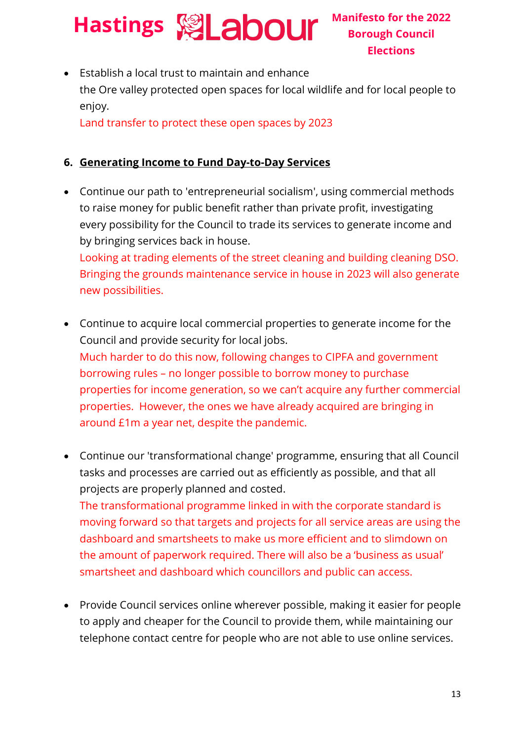• Establish a local trust to maintain and enhance the Ore valley protected open spaces for local wildlife and for local people to enjoy.

Land transfer to protect these open spaces by 2023

#### **6. Generating Income to Fund Day-to-Day Services**

- Continue our path to 'entrepreneurial socialism', using commercial methods to raise money for public benefit rather than private profit, investigating every possibility for the Council to trade its services to generate income and by bringing services back in house. Looking at trading elements of the street cleaning and building cleaning DSO. Bringing the grounds maintenance service in house in 2023 will also generate new possibilities.
- Continue to acquire local commercial properties to generate income for the Council and provide security for local jobs. Much harder to do this now, following changes to CIPFA and government borrowing rules – no longer possible to borrow money to purchase properties for income generation, so we can't acquire any further commercial properties. However, the ones we have already acquired are bringing in around £1m a year net, despite the pandemic.
- Continue our 'transformational change' programme, ensuring that all Council tasks and processes are carried out as efficiently as possible, and that all projects are properly planned and costed. The transformational programme linked in with the corporate standard is moving forward so that targets and projects for all service areas are using the dashboard and smartsheets to make us more efficient and to slimdown on the amount of paperwork required. There will also be a 'business as usual' smartsheet and dashboard which councillors and public can access.
- Provide Council services online wherever possible, making it easier for people to apply and cheaper for the Council to provide them, while maintaining our telephone contact centre for people who are not able to use online services.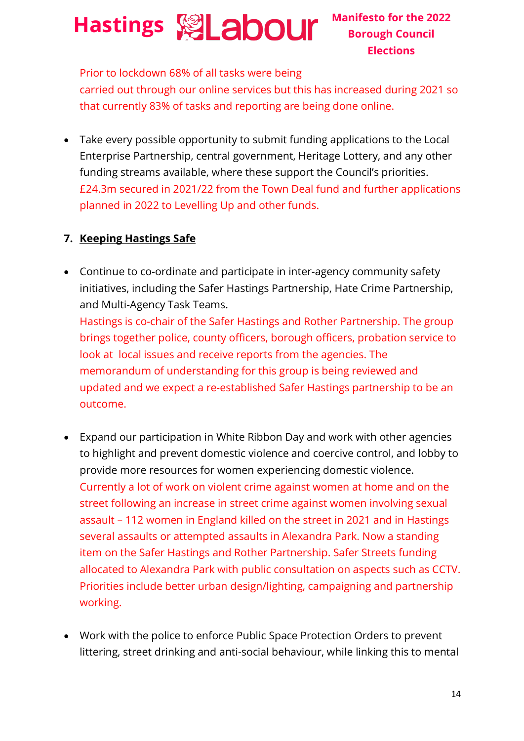Prior to lockdown 68% of all tasks were being carried out through our online services but this has increased during 2021 so that currently 83% of tasks and reporting are being done online.

• Take every possible opportunity to submit funding applications to the Local Enterprise Partnership, central government, Heritage Lottery, and any other funding streams available, where these support the Council's priorities. £24.3m secured in 2021/22 from the Town Deal fund and further applications planned in 2022 to Levelling Up and other funds.

#### **7. Keeping Hastings Safe**

- Continue to co-ordinate and participate in inter-agency community safety initiatives, including the Safer Hastings Partnership, Hate Crime Partnership, and Multi-Agency Task Teams. Hastings is co-chair of the Safer Hastings and Rother Partnership. The group brings together police, county officers, borough officers, probation service to look at local issues and receive reports from the agencies. The memorandum of understanding for this group is being reviewed and updated and we expect a re-established Safer Hastings partnership to be an outcome.
- Expand our participation in White Ribbon Day and work with other agencies to highlight and prevent domestic violence and coercive control, and lobby to provide more resources for women experiencing domestic violence. Currently a lot of work on violent crime against women at home and on the street following an increase in street crime against women involving sexual assault – 112 women in England killed on the street in 2021 and in Hastings several assaults or attempted assaults in Alexandra Park. Now a standing item on the Safer Hastings and Rother Partnership. Safer Streets funding allocated to Alexandra Park with public consultation on aspects such as CCTV. Priorities include better urban design/lighting, campaigning and partnership working.
- Work with the police to enforce Public Space Protection Orders to prevent littering, street drinking and anti-social behaviour, while linking this to mental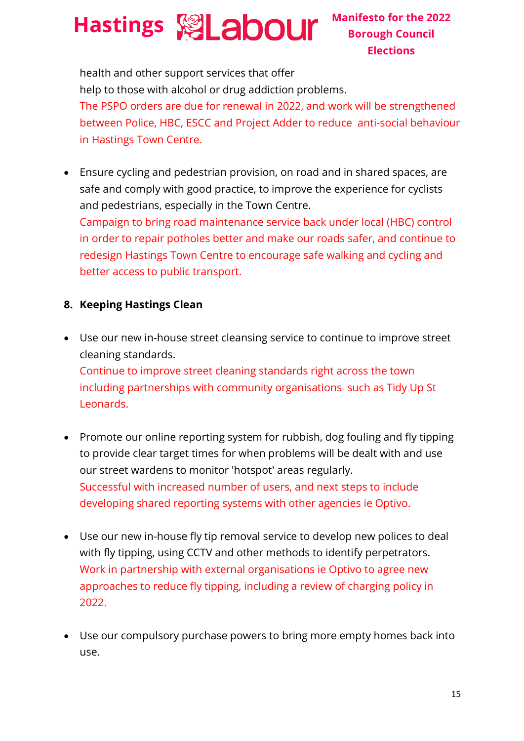**Borough Council Elections**

health and other support services that offer help to those with alcohol or drug addiction problems. The PSPO orders are due for renewal in 2022, and work will be strengthened between Police, HBC, ESCC and Project Adder to reduce anti-social behaviour in Hastings Town Centre.

• Ensure cycling and pedestrian provision, on road and in shared spaces, are safe and comply with good practice, to improve the experience for cyclists and pedestrians, especially in the Town Centre. Campaign to bring road maintenance service back under local (HBC) control in order to repair potholes better and make our roads safer, and continue to redesign Hastings Town Centre to encourage safe walking and cycling and better access to public transport.

#### **8. Keeping Hastings Clean**

Leonards.

- Use our new in-house street cleansing service to continue to improve street cleaning standards. Continue to improve street cleaning standards right across the town including partnerships with community organisations such as Tidy Up St
- Promote our online reporting system for rubbish, dog fouling and fly tipping to provide clear target times for when problems will be dealt with and use our street wardens to monitor 'hotspot' areas regularly. Successful with increased number of users, and next steps to include developing shared reporting systems with other agencies ie Optivo.
- Use our new in-house fly tip removal service to develop new polices to deal with fly tipping, using CCTV and other methods to identify perpetrators. Work in partnership with external organisations ie Optivo to agree new approaches to reduce fly tipping, including a review of charging policy in 2022.
- Use our compulsory purchase powers to bring more empty homes back into use.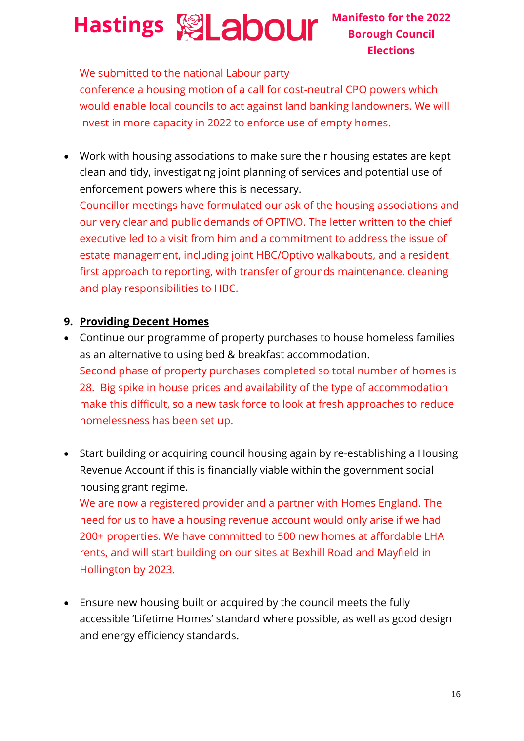We submitted to the national Labour party

conference a housing motion of a call for cost-neutral CPO powers which would enable local councils to act against land banking landowners. We will invest in more capacity in 2022 to enforce use of empty homes.

• Work with housing associations to make sure their housing estates are kept clean and tidy, investigating joint planning of services and potential use of enforcement powers where this is necessary.

Councillor meetings have formulated our ask of the housing associations and our very clear and public demands of OPTIVO. The letter written to the chief executive led to a visit from him and a commitment to address the issue of estate management, including joint HBC/Optivo walkabouts, and a resident first approach to reporting, with transfer of grounds maintenance, cleaning and play responsibilities to HBC.

#### **9. Providing Decent Homes**

- Continue our programme of property purchases to house homeless families as an alternative to using bed & breakfast accommodation. Second phase of property purchases completed so total number of homes is 28. Big spike in house prices and availability of the type of accommodation make this difficult, so a new task force to look at fresh approaches to reduce homelessness has been set up.
- Start building or acquiring council housing again by re-establishing a Housing Revenue Account if this is financially viable within the government social housing grant regime.

We are now a registered provider and a partner with Homes England. The need for us to have a housing revenue account would only arise if we had 200+ properties. We have committed to 500 new homes at affordable LHA rents, and will start building on our sites at Bexhill Road and Mayfield in Hollington by 2023.

• Ensure new housing built or acquired by the council meets the fully accessible 'Lifetime Homes' standard where possible, as well as good design and energy efficiency standards.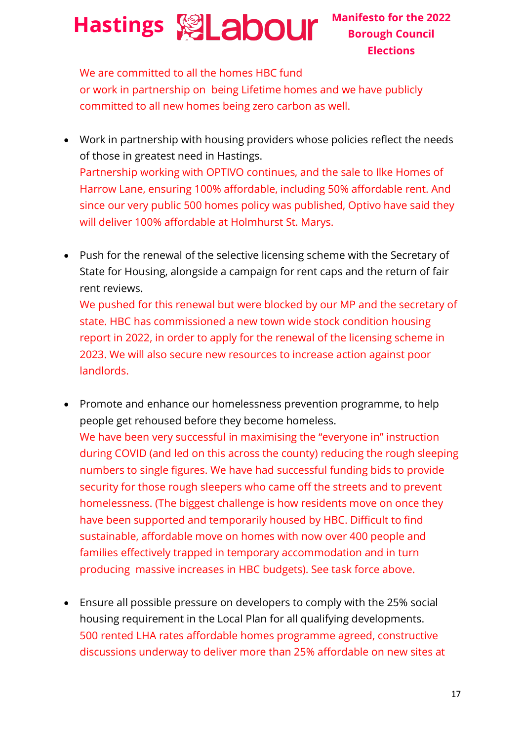**Borough Council Elections**

We are committed to all the homes HBC fund or work in partnership on being Lifetime homes and we have publicly committed to all new homes being zero carbon as well.

- Work in partnership with housing providers whose policies reflect the needs of those in greatest need in Hastings. Partnership working with OPTIVO continues, and the sale to Ilke Homes of Harrow Lane, ensuring 100% affordable, including 50% affordable rent. And since our very public 500 homes policy was published, Optivo have said they will deliver 100% affordable at Holmhurst St. Marys.
- Push for the renewal of the selective licensing scheme with the Secretary of State for Housing, alongside a campaign for rent caps and the return of fair rent reviews.

We pushed for this renewal but were blocked by our MP and the secretary of state. HBC has commissioned a new town wide stock condition housing report in 2022, in order to apply for the renewal of the licensing scheme in 2023. We will also secure new resources to increase action against poor landlords.

- Promote and enhance our homelessness prevention programme, to help people get rehoused before they become homeless. We have been very successful in maximising the "everyone in" instruction during COVID (and led on this across the county) reducing the rough sleeping numbers to single figures. We have had successful funding bids to provide security for those rough sleepers who came off the streets and to prevent homelessness. (The biggest challenge is how residents move on once they have been supported and temporarily housed by HBC. Difficult to find sustainable, affordable move on homes with now over 400 people and families effectively trapped in temporary accommodation and in turn producing massive increases in HBC budgets). See task force above.
- Ensure all possible pressure on developers to comply with the 25% social housing requirement in the Local Plan for all qualifying developments. 500 rented LHA rates affordable homes programme agreed, constructive discussions underway to deliver more than 25% affordable on new sites at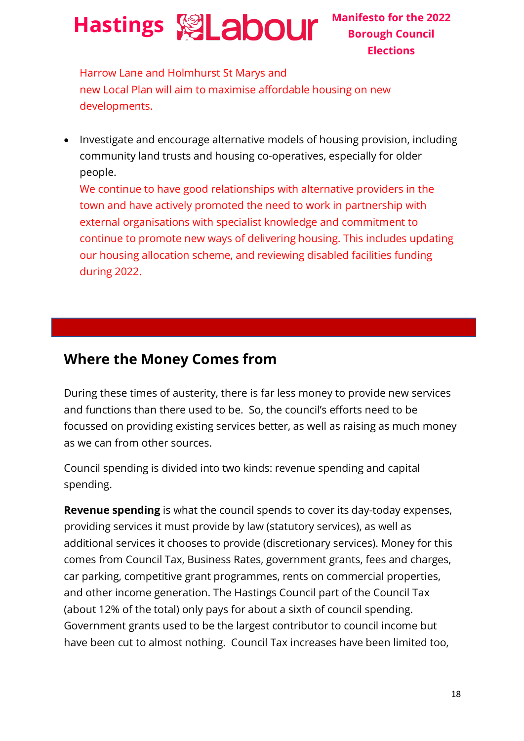**Borough Council Elections**

Harrow Lane and Holmhurst St Marys and new Local Plan will aim to maximise affordable housing on new developments.

• Investigate and encourage alternative models of housing provision, including community land trusts and housing co-operatives, especially for older people.

We continue to have good relationships with alternative providers in the town and have actively promoted the need to work in partnership with external organisations with specialist knowledge and commitment to continue to promote new ways of delivering housing. This includes updating our housing allocation scheme, and reviewing disabled facilities funding during 2022.

#### **Where the Money Comes from**

During these times of austerity, there is far less money to provide new services and functions than there used to be. So, the council's efforts need to be focussed on providing existing services better, as well as raising as much money as we can from other sources.

Council spending is divided into two kinds: revenue spending and capital spending.

**Revenue spending** is what the council spends to cover its day-today expenses, providing services it must provide by law (statutory services), as well as additional services it chooses to provide (discretionary services). Money for this comes from Council Tax, Business Rates, government grants, fees and charges, car parking, competitive grant programmes, rents on commercial properties, and other income generation. The Hastings Council part of the Council Tax (about 12% of the total) only pays for about a sixth of council spending. Government grants used to be the largest contributor to council income but have been cut to almost nothing. Council Tax increases have been limited too,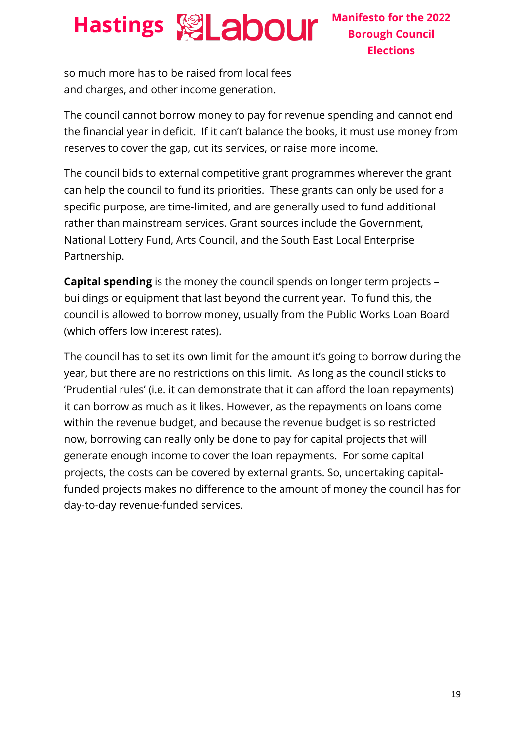so much more has to be raised from local fees and charges, and other income generation.

The council cannot borrow money to pay for revenue spending and cannot end the financial year in deficit. If it can't balance the books, it must use money from reserves to cover the gap, cut its services, or raise more income.

The council bids to external competitive grant programmes wherever the grant can help the council to fund its priorities. These grants can only be used for a specific purpose, are time-limited, and are generally used to fund additional rather than mainstream services. Grant sources include the Government, National Lottery Fund, Arts Council, and the South East Local Enterprise Partnership.

**Capital spending** is the money the council spends on longer term projects – buildings or equipment that last beyond the current year. To fund this, the council is allowed to borrow money, usually from the Public Works Loan Board (which offers low interest rates).

The council has to set its own limit for the amount it's going to borrow during the year, but there are no restrictions on this limit. As long as the council sticks to 'Prudential rules' (i.e. it can demonstrate that it can afford the loan repayments) it can borrow as much as it likes. However, as the repayments on loans come within the revenue budget, and because the revenue budget is so restricted now, borrowing can really only be done to pay for capital projects that will generate enough income to cover the loan repayments. For some capital projects, the costs can be covered by external grants. So, undertaking capitalfunded projects makes no difference to the amount of money the council has for day-to-day revenue-funded services.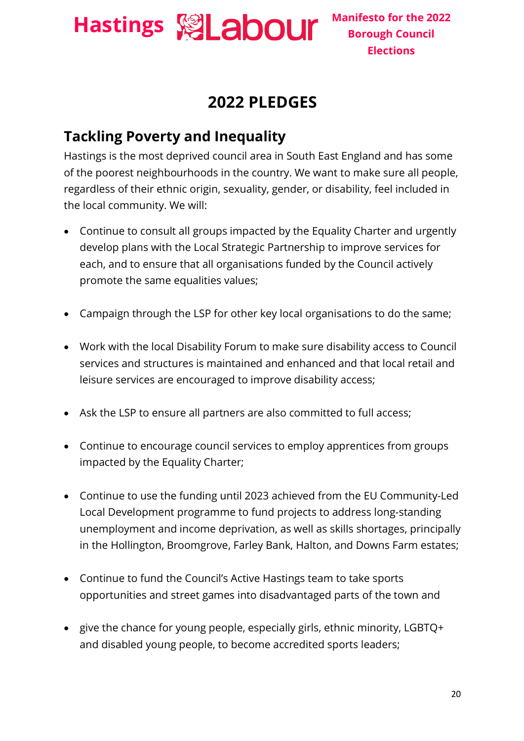

#### **2022 PLEDGES**

#### **Tackling Poverty and Inequality**

Hastings is the most deprived council area in South East England and has some of the poorest neighbourhoods in the country. We want to make sure all people, regardless of their ethnic origin, sexuality, gender, or disability, feel included in the local community. We will:

- Continue to consult all groups impacted by the Equality Charter and urgently develop plans with the Local Strategic Partnership to improve services for each, and to ensure that all organisations funded by the Council actively promote the same equalities values;
- Campaign through the LSP for other key local organisations to do the same;
- Work with the local Disability Forum to make sure disability access to Council services and structures is maintained and enhanced and that local retail and leisure services are encouraged to improve disability access;
- Ask the LSP to ensure all partners are also committed to full access;
- Continue to encourage council services to employ apprentices from groups impacted by the Equality Charter;
- Continue to use the funding until 2023 achieved from the EU Community-Led Local Development programme to fund projects to address long-standing unemployment and income deprivation, as well as skills shortages, principally in the Hollington, Broomgrove, Farley Bank, Halton, and Downs Farm estates;
- Continue to fund the Council's Active Hastings team to take sports opportunities and street games into disadvantaged parts of the town and
- give the chance for young people, especially girls, ethnic minority, LGBTQ+ and disabled young people, to become accredited sports leaders;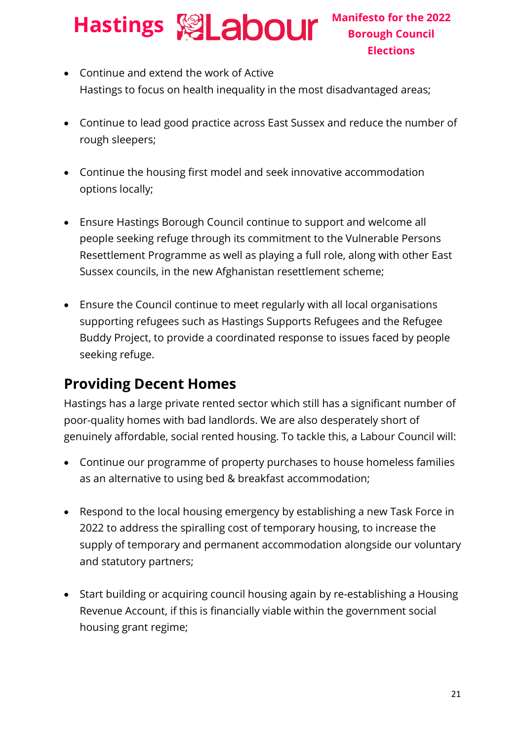- Continue and extend the work of Active Hastings to focus on health inequality in the most disadvantaged areas;
- Continue to lead good practice across East Sussex and reduce the number of rough sleepers;
- Continue the housing first model and seek innovative accommodation options locally;
- Ensure Hastings Borough Council continue to support and welcome all people seeking refuge through its commitment to the Vulnerable Persons Resettlement Programme as well as playing a full role, along with other East Sussex councils, in the new Afghanistan resettlement scheme;
- Ensure the Council continue to meet regularly with all local organisations supporting refugees such as Hastings Supports Refugees and the Refugee Buddy Project, to provide a coordinated response to issues faced by people seeking refuge.

#### **Providing Decent Homes**

Hastings has a large private rented sector which still has a significant number of poor-quality homes with bad landlords. We are also desperately short of genuinely affordable, social rented housing. To tackle this, a Labour Council will:

- Continue our programme of property purchases to house homeless families as an alternative to using bed & breakfast accommodation;
- Respond to the local housing emergency by establishing a new Task Force in 2022 to address the spiralling cost of temporary housing, to increase the supply of temporary and permanent accommodation alongside our voluntary and statutory partners;
- Start building or acquiring council housing again by re-establishing a Housing Revenue Account, if this is financially viable within the government social housing grant regime;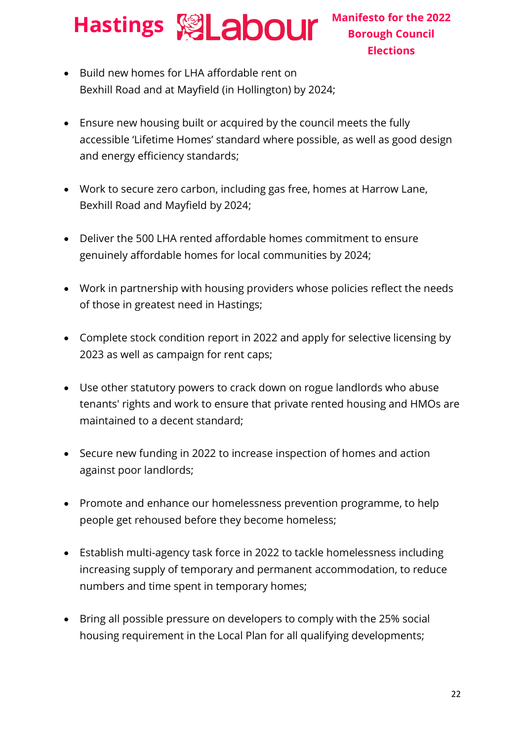- Build new homes for LHA affordable rent on Bexhill Road and at Mayfield (in Hollington) by 2024;
- Ensure new housing built or acquired by the council meets the fully accessible 'Lifetime Homes' standard where possible, as well as good design and energy efficiency standards;
- Work to secure zero carbon, including gas free, homes at Harrow Lane, Bexhill Road and Mayfield by 2024;
- Deliver the 500 LHA rented affordable homes commitment to ensure genuinely affordable homes for local communities by 2024;
- Work in partnership with housing providers whose policies reflect the needs of those in greatest need in Hastings;
- Complete stock condition report in 2022 and apply for selective licensing by 2023 as well as campaign for rent caps;
- Use other statutory powers to crack down on rogue landlords who abuse tenants' rights and work to ensure that private rented housing and HMOs are maintained to a decent standard;
- Secure new funding in 2022 to increase inspection of homes and action against poor landlords;
- Promote and enhance our homelessness prevention programme, to help people get rehoused before they become homeless;
- Establish multi-agency task force in 2022 to tackle homelessness including increasing supply of temporary and permanent accommodation, to reduce numbers and time spent in temporary homes;
- Bring all possible pressure on developers to comply with the 25% social housing requirement in the Local Plan for all qualifying developments;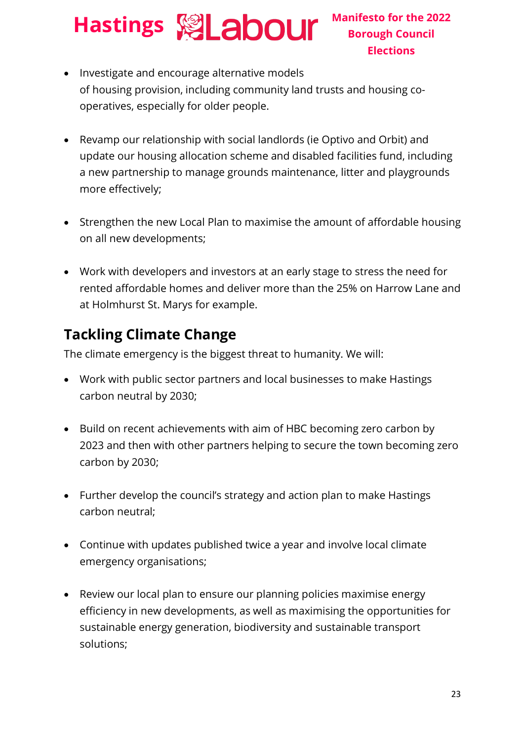- Investigate and encourage alternative models of housing provision, including community land trusts and housing cooperatives, especially for older people.
- Revamp our relationship with social landlords (ie Optivo and Orbit) and update our housing allocation scheme and disabled facilities fund, including a new partnership to manage grounds maintenance, litter and playgrounds more effectively;
- Strengthen the new Local Plan to maximise the amount of affordable housing on all new developments;
- Work with developers and investors at an early stage to stress the need for rented affordable homes and deliver more than the 25% on Harrow Lane and at Holmhurst St. Marys for example.

#### **Tackling Climate Change**

The climate emergency is the biggest threat to humanity. We will:

- Work with public sector partners and local businesses to make Hastings carbon neutral by 2030;
- Build on recent achievements with aim of HBC becoming zero carbon by 2023 and then with other partners helping to secure the town becoming zero carbon by 2030;
- Further develop the council's strategy and action plan to make Hastings carbon neutral;
- Continue with updates published twice a year and involve local climate emergency organisations;
- Review our local plan to ensure our planning policies maximise energy efficiency in new developments, as well as maximising the opportunities for sustainable energy generation, biodiversity and sustainable transport solutions;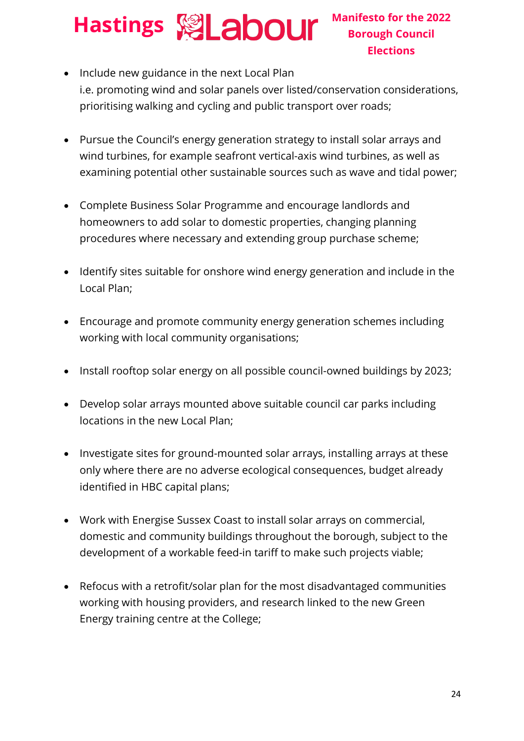- Include new guidance in the next Local Plan i.e. promoting wind and solar panels over listed/conservation considerations, prioritising walking and cycling and public transport over roads;
- Pursue the Council's energy generation strategy to install solar arrays and wind turbines, for example seafront vertical-axis wind turbines, as well as examining potential other sustainable sources such as wave and tidal power;
- Complete Business Solar Programme and encourage landlords and homeowners to add solar to domestic properties, changing planning procedures where necessary and extending group purchase scheme;
- Identify sites suitable for onshore wind energy generation and include in the Local Plan;
- Encourage and promote community energy generation schemes including working with local community organisations;
- Install rooftop solar energy on all possible council-owned buildings by 2023;
- Develop solar arrays mounted above suitable council car parks including locations in the new Local Plan;
- Investigate sites for ground-mounted solar arrays, installing arrays at these only where there are no adverse ecological consequences, budget already identified in HBC capital plans;
- Work with Energise Sussex Coast to install solar arrays on commercial, domestic and community buildings throughout the borough, subject to the development of a workable feed-in tariff to make such projects viable;
- Refocus with a retrofit/solar plan for the most disadvantaged communities working with housing providers, and research linked to the new Green Energy training centre at the College;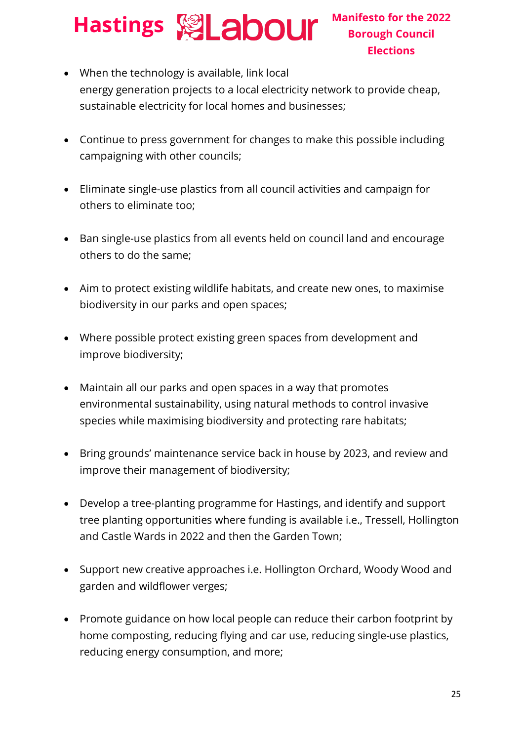- When the technology is available, link local energy generation projects to a local electricity network to provide cheap, sustainable electricity for local homes and businesses;
- Continue to press government for changes to make this possible including campaigning with other councils;
- Eliminate single-use plastics from all council activities and campaign for others to eliminate too;
- Ban single-use plastics from all events held on council land and encourage others to do the same;
- Aim to protect existing wildlife habitats, and create new ones, to maximise biodiversity in our parks and open spaces;
- Where possible protect existing green spaces from development and improve biodiversity;
- Maintain all our parks and open spaces in a way that promotes environmental sustainability, using natural methods to control invasive species while maximising biodiversity and protecting rare habitats;
- Bring grounds' maintenance service back in house by 2023, and review and improve their management of biodiversity;
- Develop a tree-planting programme for Hastings, and identify and support tree planting opportunities where funding is available i.e., Tressell, Hollington and Castle Wards in 2022 and then the Garden Town;
- Support new creative approaches i.e. Hollington Orchard, Woody Wood and garden and wildflower verges;
- Promote guidance on how local people can reduce their carbon footprint by home composting, reducing flying and car use, reducing single-use plastics, reducing energy consumption, and more;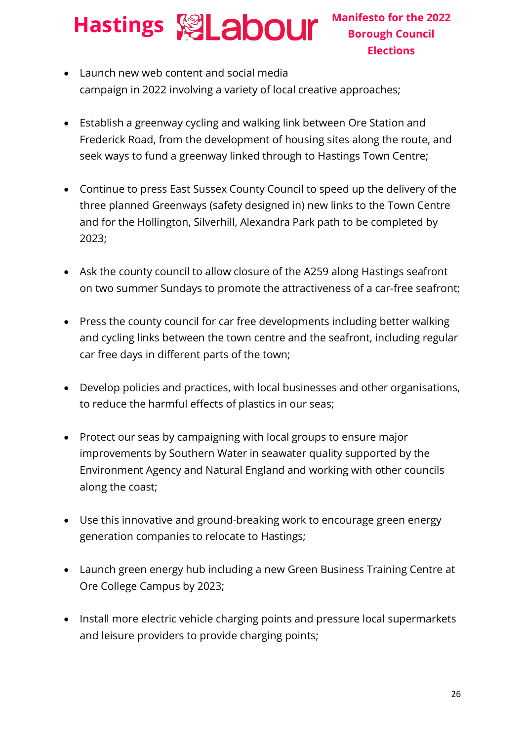- Launch new web content and social media campaign in 2022 involving a variety of local creative approaches;
- Establish a greenway cycling and walking link between Ore Station and Frederick Road, from the development of housing sites along the route, and seek ways to fund a greenway linked through to Hastings Town Centre;
- Continue to press East Sussex County Council to speed up the delivery of the three planned Greenways (safety designed in) new links to the Town Centre and for the Hollington, Silverhill, Alexandra Park path to be completed by 2023;
- Ask the county council to allow closure of the A259 along Hastings seafront on two summer Sundays to promote the attractiveness of a car-free seafront;
- Press the county council for car free developments including better walking and cycling links between the town centre and the seafront, including regular car free days in different parts of the town;
- Develop policies and practices, with local businesses and other organisations, to reduce the harmful effects of plastics in our seas;
- Protect our seas by campaigning with local groups to ensure major improvements by Southern Water in seawater quality supported by the Environment Agency and Natural England and working with other councils along the coast;
- Use this innovative and ground-breaking work to encourage green energy generation companies to relocate to Hastings;
- Launch green energy hub including a new Green Business Training Centre at Ore College Campus by 2023;
- Install more electric vehicle charging points and pressure local supermarkets and leisure providers to provide charging points;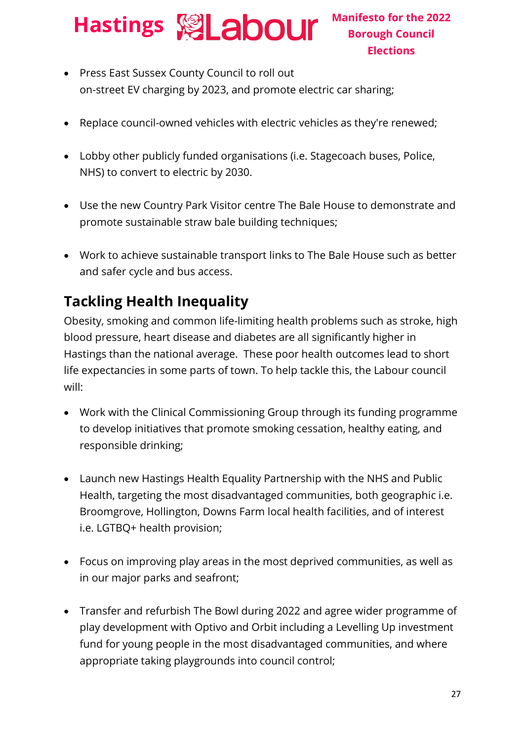# **Hastings Manifesto for the 2022**

- Press East Sussex County Council to roll out on-street EV charging by 2023, and promote electric car sharing;
- Replace council-owned vehicles with electric vehicles as they're renewed;
- Lobby other publicly funded organisations (i.e. Stagecoach buses, Police, NHS) to convert to electric by 2030.
- Use the new Country Park Visitor centre The Bale House to demonstrate and promote sustainable straw bale building techniques;
- Work to achieve sustainable transport links to The Bale House such as better and safer cycle and bus access.

#### **Tackling Health Inequality**

Obesity, smoking and common life-limiting health problems such as stroke, high blood pressure, heart disease and diabetes are all significantly higher in Hastings than the national average. These poor health outcomes lead to short life expectancies in some parts of town. To help tackle this, the Labour council will:

- Work with the Clinical Commissioning Group through its funding programme to develop initiatives that promote smoking cessation, healthy eating, and responsible drinking;
- Launch new Hastings Health Equality Partnership with the NHS and Public Health, targeting the most disadvantaged communities, both geographic i.e. Broomgrove, Hollington, Downs Farm local health facilities, and of interest i.e. LGTBQ+ health provision;
- Focus on improving play areas in the most deprived communities, as well as in our major parks and seafront;
- Transfer and refurbish The Bowl during 2022 and agree wider programme of play development with Optivo and Orbit including a Levelling Up investment fund for young people in the most disadvantaged communities, and where appropriate taking playgrounds into council control;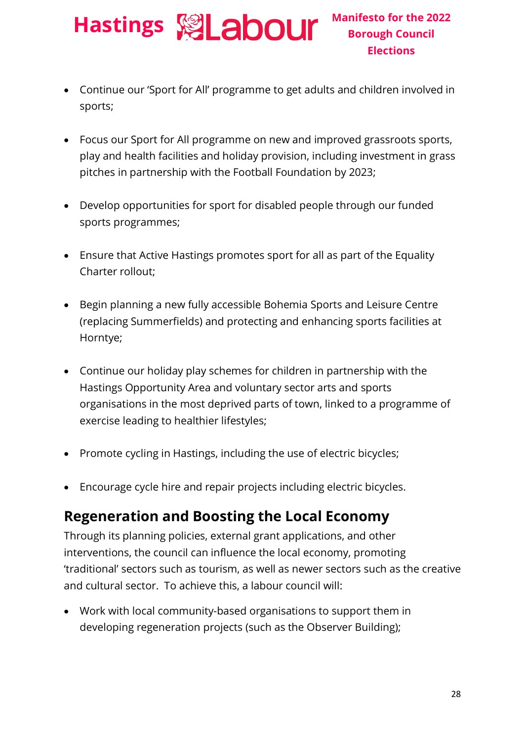- Continue our 'Sport for All' programme to get adults and children involved in sports;
- Focus our Sport for All programme on new and improved grassroots sports, play and health facilities and holiday provision, including investment in grass pitches in partnership with the Football Foundation by 2023;
- Develop opportunities for sport for disabled people through our funded sports programmes;
- Ensure that Active Hastings promotes sport for all as part of the Equality Charter rollout;
- Begin planning a new fully accessible Bohemia Sports and Leisure Centre (replacing Summerfields) and protecting and enhancing sports facilities at Horntye;
- Continue our holiday play schemes for children in partnership with the Hastings Opportunity Area and voluntary sector arts and sports organisations in the most deprived parts of town, linked to a programme of exercise leading to healthier lifestyles;
- Promote cycling in Hastings, including the use of electric bicycles;
- Encourage cycle hire and repair projects including electric bicycles.

#### **Regeneration and Boosting the Local Economy**

Through its planning policies, external grant applications, and other interventions, the council can influence the local economy, promoting 'traditional' sectors such as tourism, as well as newer sectors such as the creative and cultural sector. To achieve this, a labour council will:

• Work with local community-based organisations to support them in developing regeneration projects (such as the Observer Building);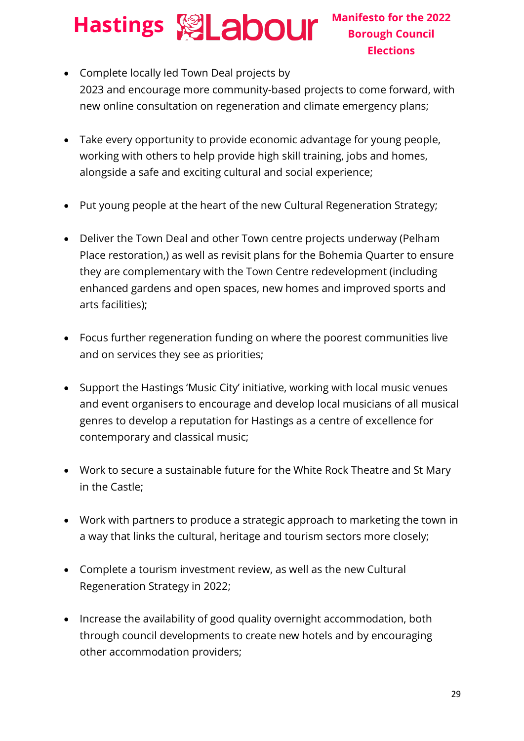- Complete locally led Town Deal projects by 2023 and encourage more community-based projects to come forward, with new online consultation on regeneration and climate emergency plans;
- Take every opportunity to provide economic advantage for young people, working with others to help provide high skill training, jobs and homes, alongside a safe and exciting cultural and social experience;
- Put young people at the heart of the new Cultural Regeneration Strategy;
- Deliver the Town Deal and other Town centre projects underway (Pelham Place restoration,) as well as revisit plans for the Bohemia Quarter to ensure they are complementary with the Town Centre redevelopment (including enhanced gardens and open spaces, new homes and improved sports and arts facilities);
- Focus further regeneration funding on where the poorest communities live and on services they see as priorities;
- Support the Hastings 'Music City' initiative, working with local music venues and event organisers to encourage and develop local musicians of all musical genres to develop a reputation for Hastings as a centre of excellence for contemporary and classical music;
- Work to secure a sustainable future for the White Rock Theatre and St Mary in the Castle;
- Work with partners to produce a strategic approach to marketing the town in a way that links the cultural, heritage and tourism sectors more closely;
- Complete a tourism investment review, as well as the new Cultural Regeneration Strategy in 2022;
- Increase the availability of good quality overnight accommodation, both through council developments to create new hotels and by encouraging other accommodation providers;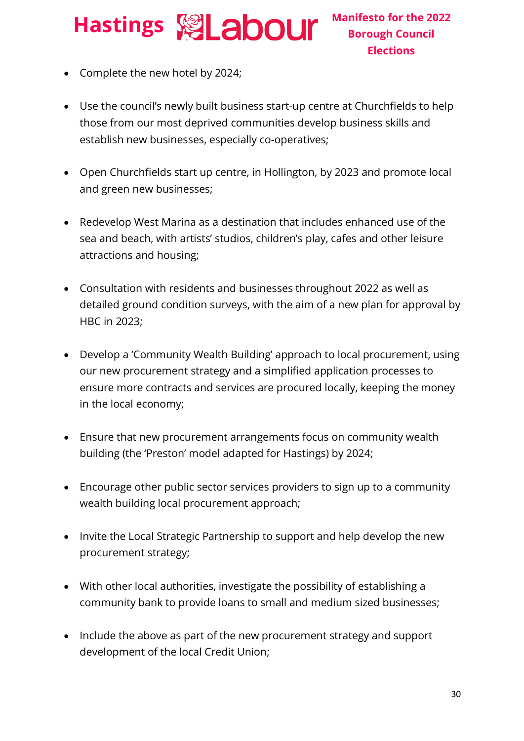## **Hastings Manifesto for the 2022**

- Complete the new hotel by 2024;
- Use the council's newly built business start-up centre at Churchfields to help those from our most deprived communities develop business skills and establish new businesses, especially co-operatives;
- Open Churchfields start up centre, in Hollington, by 2023 and promote local and green new businesses;
- Redevelop West Marina as a destination that includes enhanced use of the sea and beach, with artists' studios, children's play, cafes and other leisure attractions and housing;
- Consultation with residents and businesses throughout 2022 as well as detailed ground condition surveys, with the aim of a new plan for approval by HBC in 2023;
- Develop a 'Community Wealth Building' approach to local procurement, using our new procurement strategy and a simplified application processes to ensure more contracts and services are procured locally, keeping the money in the local economy;
- Ensure that new procurement arrangements focus on community wealth building (the 'Preston' model adapted for Hastings) by 2024;
- Encourage other public sector services providers to sign up to a community wealth building local procurement approach;
- Invite the Local Strategic Partnership to support and help develop the new procurement strategy;
- With other local authorities, investigate the possibility of establishing a community bank to provide loans to small and medium sized businesses;
- Include the above as part of the new procurement strategy and support development of the local Credit Union;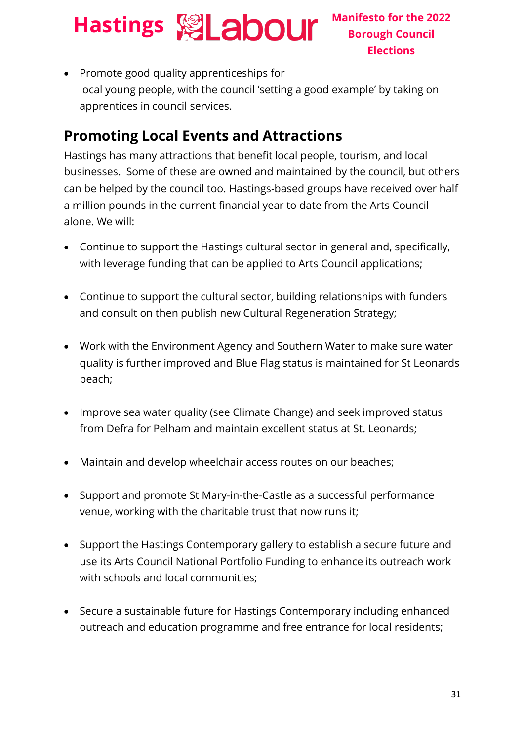• Promote good quality apprenticeships for local young people, with the council 'setting a good example' by taking on apprentices in council services.

#### **Promoting Local Events and Attractions**

Hastings has many attractions that benefit local people, tourism, and local businesses. Some of these are owned and maintained by the council, but others can be helped by the council too. Hastings-based groups have received over half a million pounds in the current financial year to date from the Arts Council alone. We will:

- Continue to support the Hastings cultural sector in general and, specifically, with leverage funding that can be applied to Arts Council applications;
- Continue to support the cultural sector, building relationships with funders and consult on then publish new Cultural Regeneration Strategy;
- Work with the Environment Agency and Southern Water to make sure water quality is further improved and Blue Flag status is maintained for St Leonards beach;
- Improve sea water quality (see Climate Change) and seek improved status from Defra for Pelham and maintain excellent status at St. Leonards;
- Maintain and develop wheelchair access routes on our beaches;
- Support and promote St Mary-in-the-Castle as a successful performance venue, working with the charitable trust that now runs it;
- Support the Hastings Contemporary gallery to establish a secure future and use its Arts Council National Portfolio Funding to enhance its outreach work with schools and local communities;
- Secure a sustainable future for Hastings Contemporary including enhanced outreach and education programme and free entrance for local residents;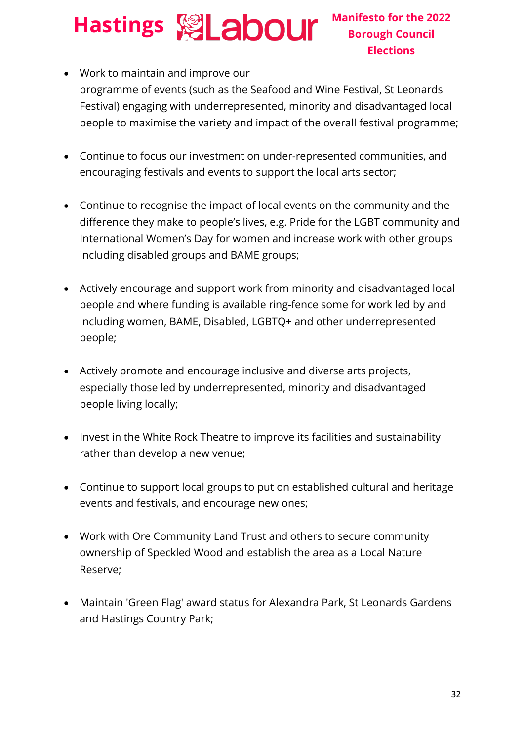- Work to maintain and improve our programme of events (such as the Seafood and Wine Festival, St Leonards Festival) engaging with underrepresented, minority and disadvantaged local people to maximise the variety and impact of the overall festival programme;
- Continue to focus our investment on under-represented communities, and encouraging festivals and events to support the local arts sector;
- Continue to recognise the impact of local events on the community and the difference they make to people's lives, e.g. Pride for the LGBT community and International Women's Day for women and increase work with other groups including disabled groups and BAME groups;
- Actively encourage and support work from minority and disadvantaged local people and where funding is available ring-fence some for work led by and including women, BAME, Disabled, LGBTQ+ and other underrepresented people;
- Actively promote and encourage inclusive and diverse arts projects, especially those led by underrepresented, minority and disadvantaged people living locally;
- Invest in the White Rock Theatre to improve its facilities and sustainability rather than develop a new venue;
- Continue to support local groups to put on established cultural and heritage events and festivals, and encourage new ones;
- Work with Ore Community Land Trust and others to secure community ownership of Speckled Wood and establish the area as a Local Nature Reserve;
- Maintain 'Green Flag' award status for Alexandra Park, St Leonards Gardens and Hastings Country Park;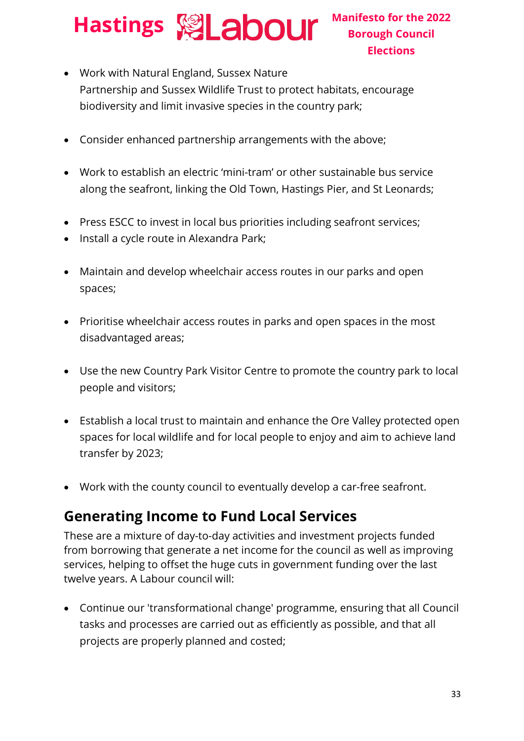# **Hastings Manifesto for the 2022**

- Work with Natural England, Sussex Nature Partnership and Sussex Wildlife Trust to protect habitats, encourage biodiversity and limit invasive species in the country park;
- Consider enhanced partnership arrangements with the above;
- Work to establish an electric 'mini-tram' or other sustainable bus service along the seafront, linking the Old Town, Hastings Pier, and St Leonards;
- Press ESCC to invest in local bus priorities including seafront services;
- Install a cycle route in Alexandra Park;
- Maintain and develop wheelchair access routes in our parks and open spaces;
- Prioritise wheelchair access routes in parks and open spaces in the most disadvantaged areas;
- Use the new Country Park Visitor Centre to promote the country park to local people and visitors;
- Establish a local trust to maintain and enhance the Ore Valley protected open spaces for local wildlife and for local people to enjoy and aim to achieve land transfer by 2023;
- Work with the county council to eventually develop a car-free seafront.

#### **Generating Income to Fund Local Services**

These are a mixture of day-to-day activities and investment projects funded from borrowing that generate a net income for the council as well as improving services, helping to offset the huge cuts in government funding over the last twelve years. A Labour council will:

• Continue our 'transformational change' programme, ensuring that all Council tasks and processes are carried out as efficiently as possible, and that all projects are properly planned and costed;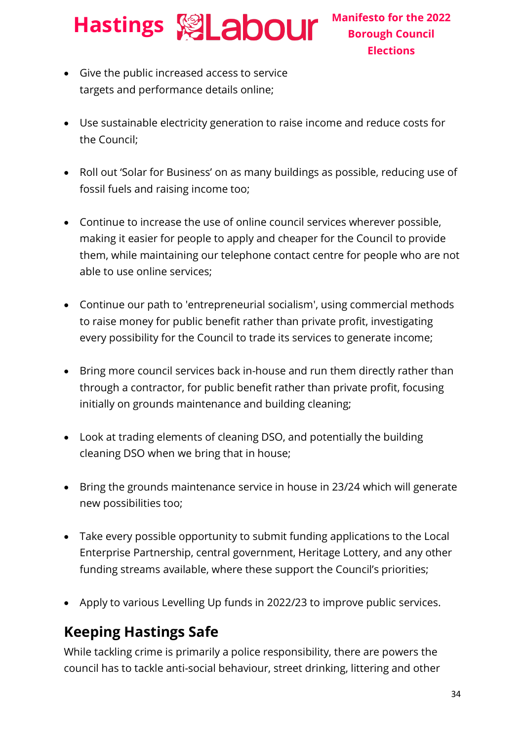### **Hastings Manifesto for the 2022**

- Give the public increased access to service targets and performance details online;
- Use sustainable electricity generation to raise income and reduce costs for the Council;
- Roll out 'Solar for Business' on as many buildings as possible, reducing use of fossil fuels and raising income too;
- Continue to increase the use of online council services wherever possible, making it easier for people to apply and cheaper for the Council to provide them, while maintaining our telephone contact centre for people who are not able to use online services;
- Continue our path to 'entrepreneurial socialism', using commercial methods to raise money for public benefit rather than private profit, investigating every possibility for the Council to trade its services to generate income;
- Bring more council services back in-house and run them directly rather than through a contractor, for public benefit rather than private profit, focusing initially on grounds maintenance and building cleaning;
- Look at trading elements of cleaning DSO, and potentially the building cleaning DSO when we bring that in house;
- Bring the grounds maintenance service in house in 23/24 which will generate new possibilities too;
- Take every possible opportunity to submit funding applications to the Local Enterprise Partnership, central government, Heritage Lottery, and any other funding streams available, where these support the Council's priorities;
- Apply to various Levelling Up funds in 2022/23 to improve public services.

#### **Keeping Hastings Safe**

While tackling crime is primarily a police responsibility, there are powers the council has to tackle anti-social behaviour, street drinking, littering and other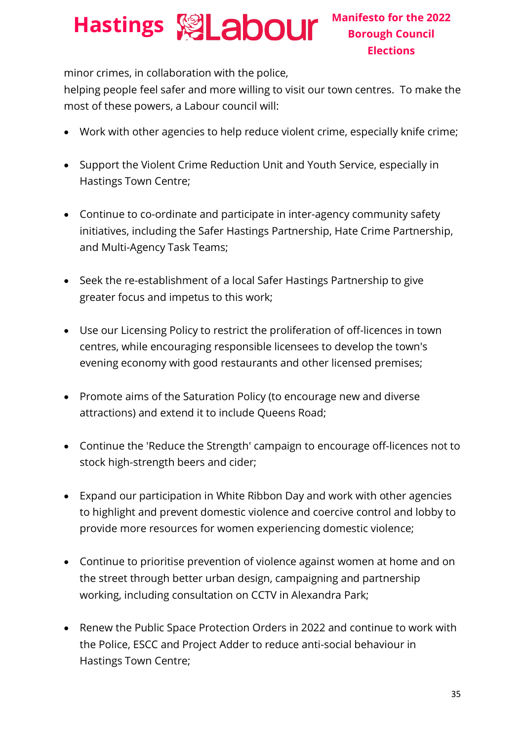minor crimes, in collaboration with the police,

helping people feel safer and more willing to visit our town centres. To make the most of these powers, a Labour council will:

- Work with other agencies to help reduce violent crime, especially knife crime;
- Support the Violent Crime Reduction Unit and Youth Service, especially in Hastings Town Centre;
- Continue to co-ordinate and participate in inter-agency community safety initiatives, including the Safer Hastings Partnership, Hate Crime Partnership, and Multi-Agency Task Teams;
- Seek the re-establishment of a local Safer Hastings Partnership to give greater focus and impetus to this work;
- Use our Licensing Policy to restrict the proliferation of off-licences in town centres, while encouraging responsible licensees to develop the town's evening economy with good restaurants and other licensed premises;
- Promote aims of the Saturation Policy (to encourage new and diverse attractions) and extend it to include Queens Road;
- Continue the 'Reduce the Strength' campaign to encourage off-licences not to stock high-strength beers and cider;
- Expand our participation in White Ribbon Day and work with other agencies to highlight and prevent domestic violence and coercive control and lobby to provide more resources for women experiencing domestic violence;
- Continue to prioritise prevention of violence against women at home and on the street through better urban design, campaigning and partnership working, including consultation on CCTV in Alexandra Park;
- Renew the Public Space Protection Orders in 2022 and continue to work with the Police, ESCC and Project Adder to reduce anti-social behaviour in Hastings Town Centre;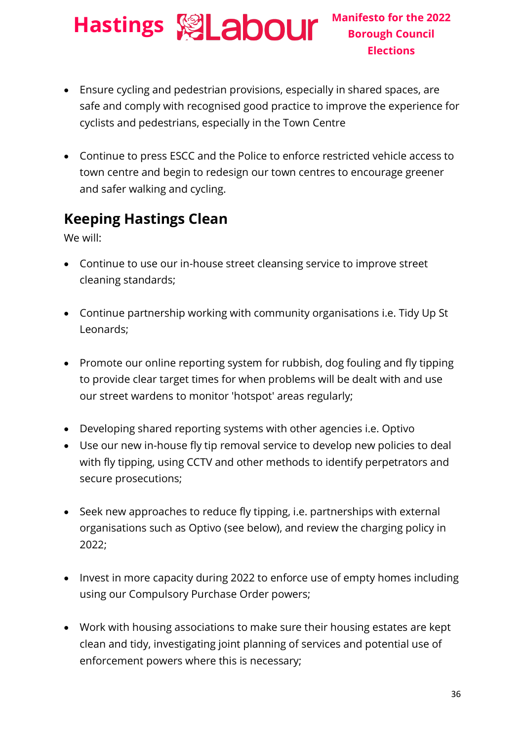### **Hastings Manifesto for the 2022**

- Ensure cycling and pedestrian provisions, especially in shared spaces, are safe and comply with recognised good practice to improve the experience for cyclists and pedestrians, especially in the Town Centre
- Continue to press ESCC and the Police to enforce restricted vehicle access to town centre and begin to redesign our town centres to encourage greener and safer walking and cycling.

#### **Keeping Hastings Clean**

We will:

- Continue to use our in-house street cleansing service to improve street cleaning standards;
- Continue partnership working with community organisations i.e. Tidy Up St Leonards;
- Promote our online reporting system for rubbish, dog fouling and fly tipping to provide clear target times for when problems will be dealt with and use our street wardens to monitor 'hotspot' areas regularly;
- Developing shared reporting systems with other agencies i.e. Optivo
- Use our new in-house fly tip removal service to develop new policies to deal with fly tipping, using CCTV and other methods to identify perpetrators and secure prosecutions;
- Seek new approaches to reduce fly tipping, i.e. partnerships with external organisations such as Optivo (see below), and review the charging policy in 2022;
- Invest in more capacity during 2022 to enforce use of empty homes including using our Compulsory Purchase Order powers;
- Work with housing associations to make sure their housing estates are kept clean and tidy, investigating joint planning of services and potential use of enforcement powers where this is necessary;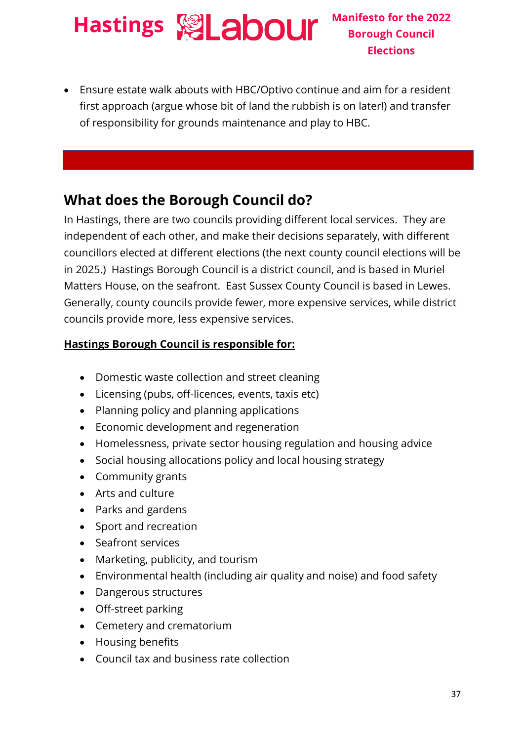• Ensure estate walk abouts with HBC/Optivo continue and aim for a resident first approach (argue whose bit of land the rubbish is on later!) and transfer of responsibility for grounds maintenance and play to HBC.

#### **What does the Borough Council do?**

In Hastings, there are two councils providing different local services. They are independent of each other, and make their decisions separately, with different councillors elected at different elections (the next county council elections will be in 2025.) Hastings Borough Council is a district council, and is based in Muriel Matters House, on the seafront. East Sussex County Council is based in Lewes. Generally, county councils provide fewer, more expensive services, while district councils provide more, less expensive services.

#### **Hastings Borough Council is responsible for:**

- Domestic waste collection and street cleaning
- Licensing (pubs, off-licences, events, taxis etc)
- Planning policy and planning applications
- Economic development and regeneration
- Homelessness, private sector housing regulation and housing advice
- Social housing allocations policy and local housing strategy
- Community grants
- Arts and culture
- Parks and gardens
- Sport and recreation
- Seafront services
- Marketing, publicity, and tourism
- Environmental health (including air quality and noise) and food safety
- Dangerous structures
- Off-street parking
- Cemetery and crematorium
- Housing benefits
- Council tax and business rate collection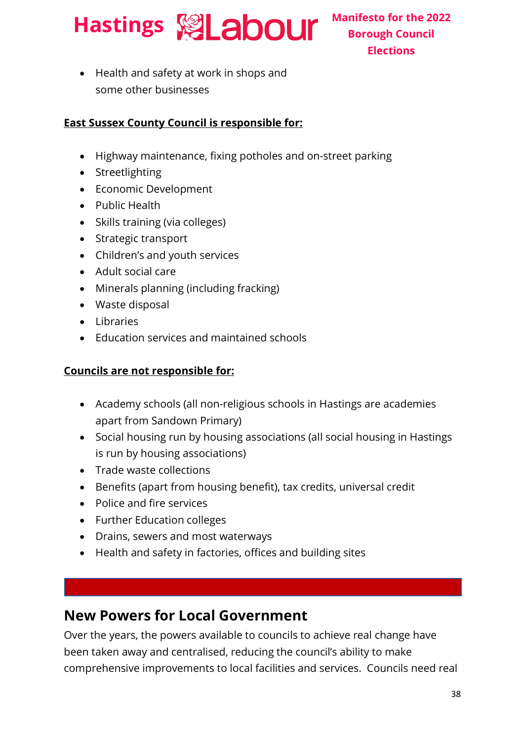

• Health and safety at work in shops and some other businesses

#### **East Sussex County Council is responsible for:**

- Highway maintenance, fixing potholes and on-street parking
- Streetlighting
- Economic Development
- Public Health
- Skills training (via colleges)
- Strategic transport
- Children's and youth services
- Adult social care
- Minerals planning (including fracking)
- Waste disposal
- Libraries
- Education services and maintained schools

#### **Councils are not responsible for:**

- Academy schools (all non-religious schools in Hastings are academies apart from Sandown Primary)
- Social housing run by housing associations (all social housing in Hastings is run by housing associations)
- Trade waste collections
- Benefits (apart from housing benefit), tax credits, universal credit
- Police and fire services

Environmental pollution

- Further Education colleges
- Drains, sewers and most waterways
- Health and safety in factories, offices and building sites

#### **New Powers for Local Government**

Over the years, the powers available to councils to achieve real change have been taken away and centralised, reducing the council's ability to make comprehensive improvements to local facilities and services. Councils need real